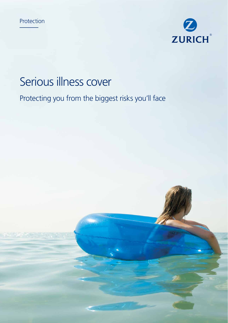



# Serious illness cover

Protecting you from the biggest risks you'll face

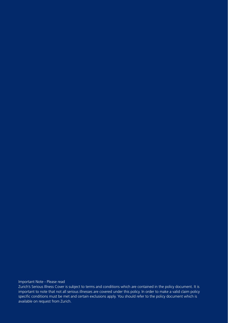Important Note - Please read

Zurich's Serious Illness Cover is subject to terms and conditions which are contained in the policy document. It is important to note that not all serious illnesses are covered under this policy. In order to make a valid claim policy specific conditions must be met and certain exclusions apply. You should refer to the policy document which is available on request from Zurich.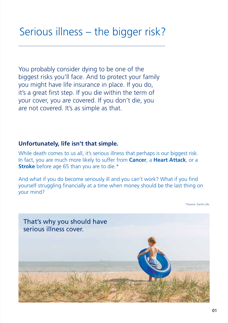You probably consider dying to be one of the biggest risks you'll face. And to protect your family you might have life insurance in place. If you do, it's a great first step. If you die within the term of your cover, you are covered. If you don't die, you are not covered. It's as simple as that.

#### **Unfortunately, life isn't that simple.**

While death comes to us all, it's serious illness that perhaps is our biggest risk. In fact, you are much more likely to suffer from **Cancer**, a **Heart Attack**, or a **Stroke** before age 65 than you are to die.\*

And what if you do become seriously ill and you can't work? What if you find yourself struggling financially at a time when money should be the last thing on your mind?

\*Source: Zurich Life.

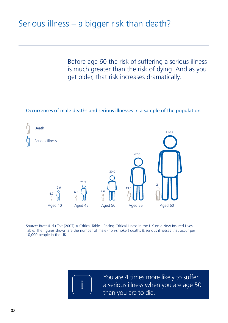Before age 60 the risk of suffering a serious illness is much greater than the risk of dying. And as you get older, that risk increases dramatically.

#### Occurrences of male deaths and serious illnesses in a sample of the population



Source: Brett & du Toit (2007) A Critical Table - Pricing Critical Illness in the UK on a New Insured Lives Table. The figures shown are the number of male (non-smoker) deaths & serious illnesses that occur per 10,000 people in the UK.



You are 4 times more likely to suffer a serious illness when you are age 50 than you are to die.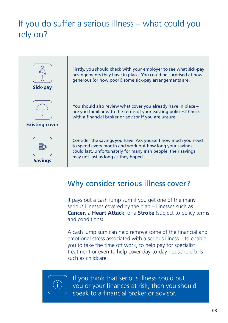## If you do suffer a serious illness – what could you rely on?

| <b>Sick-pay</b>       | Firstly, you should check with your employer to see what sick-pay<br>arrangements they have in place. You could be surprised at how<br>generous (or how poor!) some sick-pay arrangements are.                                    |
|-----------------------|-----------------------------------------------------------------------------------------------------------------------------------------------------------------------------------------------------------------------------------|
| <b>Existing cover</b> | You should also review what cover you already have in place -<br>are you familiar with the terms of your existing policies? Check<br>with a financial broker or advisor if you are unsure.                                        |
| <b>Savings</b>        | Consider the savings you have. Ask yourself how much you need<br>to spend every month and work out how long your savings<br>could last. Unfortunately for many Irish people, their savings<br>may not last as long as they hoped. |

### Why consider serious illness cover?

It pays out a cash lump sum if you get one of the many serious illnesses covered by the plan – illnesses such as **Cancer**, a **Heart Attack**, or a **Stroke** (subject to policy terms and conditions).

A cash lump sum can help remove some of the financial and emotional stress associated with a serious illness – to enable you to take the time off work, to help pay for specialist treatment or even to help cover day-to-day household bills such as childcare.



If you think that serious illness could put you or your finances at risk, then you should speak to a financial broker or advisor.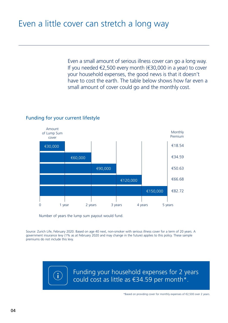Even a small amount of serious illness cover can go a long way. If you needed €2,500 every month (€30,000 in a year) to cover your household expenses, the good news is that it doesn't have to cost the earth. The table below shows how far even a small amount of cover could go and the monthly cost.

#### Funding for your current lifestyle



Number of years the lump sum payout would fund.

Source: Zurich Life, February 2020. Based on age 40 next, non-smoker with serious illness cover for a term of 20 years. A government insurance levy (1% as at February 2020 and may change in the future) applies to this policy. These sample premiums do not include this levy.

G

Funding your household expenses for 2 years could cost as little as €34.59 per month\*.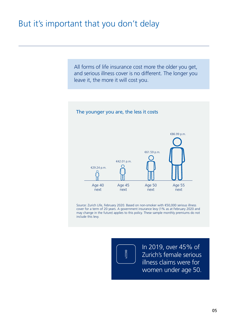### But it's important that you don't delay

All forms of life insurance cost more the older you get, and serious illness cover is no different. The longer you leave it, the more it will cost you.



Source: Zurich Life, February 2020. Based on non-smoker with €50,000 serious illness cover for a term of 20 years. A government insurance levy (1% as at February 2020 and may change in the future) applies to this policy. These sample monthly premiums do not include this levy.

Î

In 2019, over 45% of Zurich's female serious illness claims were for women under age 50.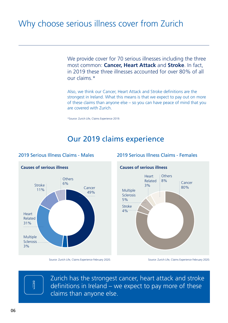### Why choose serious illness cover from Zurich

We provide cover for 70 serious illnesses including the three most common: **Cancer, Heart Attack** and **Stroke**. In fact, in 2019 these three illnesses accounted for over 80% of all our claims.\*

Also, we think our Cancer, Heart Attack and Stroke definitions are the strongest in Ireland. What this means is that we expect to pay out on more of these claims than anyone else – so you can have peace of mind that you are covered with Zurich.

\*Source: Zurich Life, Claims Experience 2019.

### Our 2019 claims experience



#### 2019 Serious Illness Claims - Males



#### 2019 Serious Illness Claims - Females

Source: Zurich Life, Claims Experience February 2020.



Zurich has the strongest cancer, heart attack and stroke definitions in Ireland – we expect to pay more of these claims than anyone else.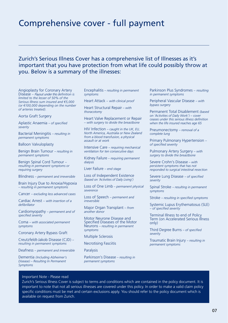### Comprehensive cover - full payment

#### Zurich's Serious Illness Cover has a comprehensive list of Illnesses as it's important that you have protection from what life could possibly throw at you. Below is a summary of the illnesses:

Angioplasty for Coronary Artery Disease *– Payout under this definition is limited to the lesser of 50% of the Serious Illness sum insured and €5,000 (or €100,000 depending on the number of arteries treated).*

Aorta Graft Surgery

Aplastic Anaemia *– of specified severity*

Bacterial Meningitis *– resulting in permanent symptoms*

Balloon Valvuloplasty

Benign Brain Tumour *– resulting in permanent symptoms*

Benign Spinal Cord Tumour *– resulting in permanent symptoms or requiring surgery*

Blindness *– permanent and irreversible*

Brain Injury Due to Anoxia/Hypoxia *– resulting in permanent symptoms*

Cancer *– excluding less advanced cases*

Cardiac Arrest *– with insertion of a defibrillator*

Cardiomyopathy *– permanent and of specified severity*

Coma *– with associated permanent symptoms*

Coronary Artery Bypass Graft

Creutzfeldt-Jakob Disease (CJD) *– resulting in permanent symptoms*

Deafness *– permanent and irreversible*

Dementia *(Including Alzheimer's Disease) – Resulting In Permanent Symptoms*

Encephalitis *– resulting in permanent symptoms*

Heart Attack *– with clinical proof*

Heart Structural Repair *– with thoracotomy*

Heart Valve Replacement or Repair *– with surgery to divide the breastbone*

HIV Infection *– caught in the UK, EU, North America, Australia or New Zealand from a blood transfusion, a physical assault or at work*

Intensive Care *– requiring mechanical ventilation for ten consecutive days*

Kidney Failure *– requiring permanent dialysis*

Liver Failure *– end stage*

Loss of Independent Existence *(based on 'Activities of Daily Living')*

Loss of One Limb *– permanent physical severence*

Loss of Speech *– permanent and irreversible*

Major Organ Transplant *– from another donor*

Motor Neurone Disease and Specified Diseases of the Motor Neurons *– resulting in permanent symptoms*

Multiple Sclerosis

Necrotising Fasciitis

Paralysis

Parkinson's Disease *– resulting in permanent symptoms*

Parkinson Plus Syndromes *– resulting in permanent symptoms*

Peripheral Vascular Disease *– with bypass surgery*

Permanent Total Disablement *(based on 'Activities of Daily Work') – cover ceases under this serious illness definition when the life insured reaches age 65*

Pneumonectomy *– removal of a complete lung*

Primary Pulmonary Hypertension *– of specified severity*

Pulmonary Artery Surgery *– with surgery to divide the breastbone*

Severe Crohn's Disease *– with persistent symptoms that has not responded to surgical intestinal resection*

Severe Lung Disease *– of specified severity*

Spinal Stroke *– resulting in permanent symptoms*

Stroke *– resulting in specified symptoms*

Systemic Lupus Erythematosus (SLE) *– of specified severity*

Terminal Illness to end of Policy Term (on Accelerated Serious Illness only)

Third Degree Burns *– of specified severity*

Traumatic Brain Injury *– resulting in permanent symptoms*

#### Important Note - Please read

Zurich's Serious Illness Cover is subject to terms and conditions which are contained in the policy document. It is important to note that not all serious illnesses are covered under this policy. In order to make a valid claim policy specific conditions must be met and certain exclusions apply. You should refer to the policy document which is available on request from Zurich.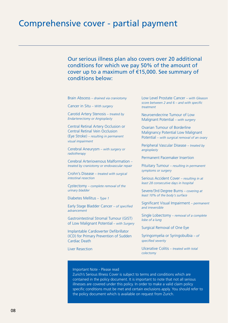Our serious illness plan also covers over 20 additional conditions for which we pay 50% of the amount of cover up to a maximum of €15,000. See summary of conditions below:

Brain Abscess *– drained via craniotomy*

Cancer in Situ *– With surgery*

Carotid Artery Stenosis *– treated by Endarterectomy or Angioplasty* 

Central Retinal Artery Occlusion or Central Retinal Vein Occlusion (Eye Stroke) *– resulting in permanent visual impairment*

Cerebral Aneurysm *– with surgery or radiotherapy*

Cerebral Arteriovenous Malformation *– treated by craniotomy or endovascular repair*

Crohn's Disease *– treated with surgical intestinal resection*

Cystectomy *– complete removal of the urinary bladder*

Diabetes Mellitus *– Type 1*

Early Stage Bladder Cancer *– of specified advancement*

Gastrointestinal Stromal Tumour (GIST) of Low Malignant Potential *– with Surgery*

Implantable Cardioverter Defibrillator (ICD) for Primary Prevention of Sudden Cardiac Death

Liver Resection

Low Level Prostate Cancer *– with Gleason score between 2 and 6 – and with specific treatment*

Neuroendecrine Tumour of Low Malignant Potential *– with surgery* 

Ovarian Tumour of Borderline Malignancy Potential Low Malignant Potential *– with surgical removal of an ovary* 

Peripheral Vascular Disease *– treated by angioplasty*

Permanent Pacemaker Insertion

Pituitary Tumour *– resulting in permanent symptoms or surgery*

Serious Accident Cover *– resulting in at least 28 consecutive days in hospital*

Severe/3rd Degree Burns *– covering at least 10% of the body's surface*

Significant Visual Impairment *– permanent and irreversible*

Single Lobectomy *– removal of a complete lobe of a lung*

Surgical Removal of One Eye

Syringomyelia or Syringobulbia *– of specified severity*

Ulcerative Colitis *– treated with total colectomy*

#### Important Note - Please read

Zurich's Serious Illness Cover is subject to terms and conditions which are contained in the policy document. It is important to note that not all serious illnesses are covered under this policy. In order to make a valid claim policy specific conditions must be met and certain exclusions apply. You should refer to the policy document which is available on request from Zurich.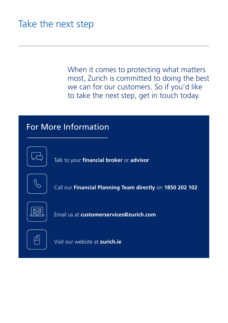# Take the next step

When it comes to protecting what matters most, Zurich is committed to doing the best we can for our customers. So if you'd like to take the next step, get in touch today.

### For More Information



Talk to your **financial broker** or **advisor** 



Call our **Financial Planning Team directly** on **1850 202 102** 



Email us at **customerservices@zurich.com** 



Visit our website at **zurich.ie**